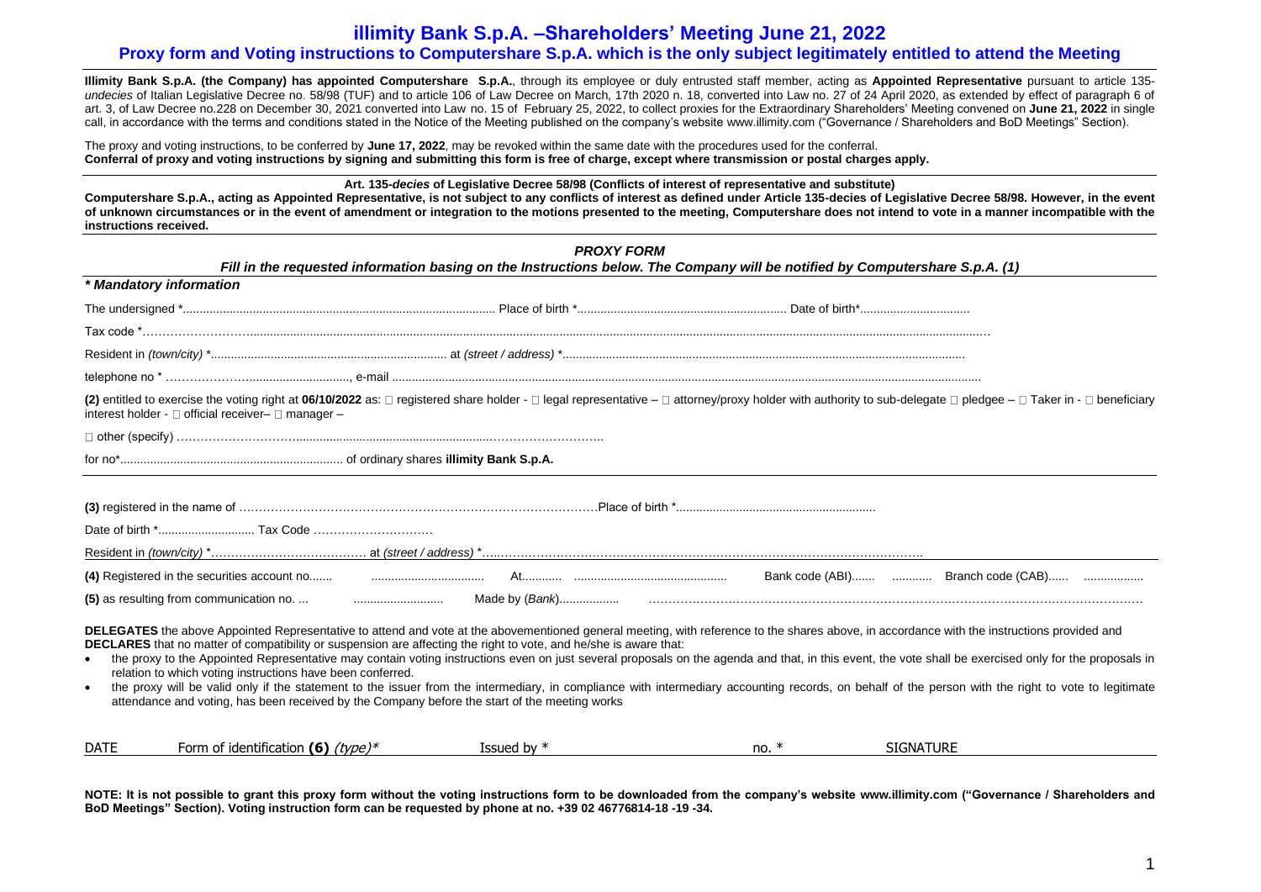**Illimity Bank S.p.A. (the Company) has appointed Computershare S.p.A.**, through its employee or duly entrusted staff member, acting as **Appointed Representative** pursuant to article 135 *undecies* of Italian Legislative Decree no. 58/98 (TUF) and to article 106 of Law Decree on March, 17th 2020 n. 18, converted into Law no. 27 of 24 April 2020, as extended by effect of paragraph 6 of art. 3, of Law Decree no.228 on December 30, 2021 converted into Law no. 15 of February 25, 2022, to collect proxies for the Extraordinary Shareholders' Meeting convened on **June 21, 2022** in single call, in accordance with the terms and conditions stated in the Notice of the Meeting published on the company's website [www.illimity.com](http://www.illimity.com/) ("Governance / Shareholders and BoD Meetings" Section).

The proxy and voting instructions, to be conferred by **June 17, 2022**, may be revoked within the same date with the procedures used for the conferral. **Conferral of proxy and voting instructions by signing and submitting this form is free of charge, except where transmission or postal charges apply.**

**Art. 135-***decies* **of Legislative Decree 58/98 (Conflicts of interest of representative and substitute)** 

**Computershare S.p.A., acting as Appointed Representative, is not subject to any conflicts of interest as defined under Article 135-decies of Legislative Decree 58/98. However, in the event of unknown circumstances or in the event of amendment or integration to the motions presented to the meeting, Computershare does not intend to vote in a manner incompatible with the instructions received.**

| <b>PROXY FORM</b><br>Fill in the requested information basing on the Instructions below. The Company will be notified by Computershare S.p.A. (1) |                                                              |                                                                                                                                                                                                                                                                                                                                                                                                                                                                                                                                                                                                                                                                                                                                                                                                                                   |         |                  |  |  |  |  |
|---------------------------------------------------------------------------------------------------------------------------------------------------|--------------------------------------------------------------|-----------------------------------------------------------------------------------------------------------------------------------------------------------------------------------------------------------------------------------------------------------------------------------------------------------------------------------------------------------------------------------------------------------------------------------------------------------------------------------------------------------------------------------------------------------------------------------------------------------------------------------------------------------------------------------------------------------------------------------------------------------------------------------------------------------------------------------|---------|------------------|--|--|--|--|
|                                                                                                                                                   | * Mandatory information                                      |                                                                                                                                                                                                                                                                                                                                                                                                                                                                                                                                                                                                                                                                                                                                                                                                                                   |         |                  |  |  |  |  |
|                                                                                                                                                   |                                                              |                                                                                                                                                                                                                                                                                                                                                                                                                                                                                                                                                                                                                                                                                                                                                                                                                                   |         |                  |  |  |  |  |
|                                                                                                                                                   |                                                              |                                                                                                                                                                                                                                                                                                                                                                                                                                                                                                                                                                                                                                                                                                                                                                                                                                   |         |                  |  |  |  |  |
|                                                                                                                                                   |                                                              |                                                                                                                                                                                                                                                                                                                                                                                                                                                                                                                                                                                                                                                                                                                                                                                                                                   |         |                  |  |  |  |  |
|                                                                                                                                                   |                                                              |                                                                                                                                                                                                                                                                                                                                                                                                                                                                                                                                                                                                                                                                                                                                                                                                                                   |         |                  |  |  |  |  |
|                                                                                                                                                   | interest holder - $\Box$ official receiver- $\Box$ manager - | (2) entitled to exercise the voting right at 06/10/2022 as: □ registered share holder - □ legal representative - □ attorney/proxy holder with authority to sub-delegate □ pledgee - □ Taker in - □ beneficiary                                                                                                                                                                                                                                                                                                                                                                                                                                                                                                                                                                                                                    |         |                  |  |  |  |  |
|                                                                                                                                                   |                                                              |                                                                                                                                                                                                                                                                                                                                                                                                                                                                                                                                                                                                                                                                                                                                                                                                                                   |         |                  |  |  |  |  |
|                                                                                                                                                   |                                                              |                                                                                                                                                                                                                                                                                                                                                                                                                                                                                                                                                                                                                                                                                                                                                                                                                                   |         |                  |  |  |  |  |
|                                                                                                                                                   |                                                              |                                                                                                                                                                                                                                                                                                                                                                                                                                                                                                                                                                                                                                                                                                                                                                                                                                   |         |                  |  |  |  |  |
|                                                                                                                                                   |                                                              | (4) Registered in the securities account no <b>2006</b> Marian Marian Marian Marian Marian Marian Marian Marian Marian Bank code (ABI) <b>Branch code (CABI</b> ) <b>Branch code</b> (CABI)                                                                                                                                                                                                                                                                                                                                                                                                                                                                                                                                                                                                                                       |         |                  |  |  |  |  |
|                                                                                                                                                   |                                                              |                                                                                                                                                                                                                                                                                                                                                                                                                                                                                                                                                                                                                                                                                                                                                                                                                                   |         |                  |  |  |  |  |
| $\bullet$<br>$\bullet$                                                                                                                            | relation to which voting instructions have been conferred.   | DELEGATES the above Appointed Representative to attend and vote at the abovementioned general meeting, with reference to the shares above, in accordance with the instructions provided and<br>DECLARES that no matter of compatibility or suspension are affecting the right to vote, and he/she is aware that:<br>the proxy to the Appointed Representative may contain voting instructions even on just several proposals on the agenda and that, in this event, the vote shall be exercised only for the proposals in<br>the proxy will be valid only if the statement to the issuer from the intermediary, in compliance with intermediary accounting records, on behalf of the person with the right to vote to legitimate<br>attendance and voting, has been received by the Company before the start of the meeting works |         |                  |  |  |  |  |
| <b>DATE</b>                                                                                                                                       | Form of identification (6) $(type)*$                         | Issued by $*$                                                                                                                                                                                                                                                                                                                                                                                                                                                                                                                                                                                                                                                                                                                                                                                                                     | no. $*$ | <b>SIGNATURE</b> |  |  |  |  |

**NOTE: It is not possible to grant this proxy form without the voting instructions form to be downloaded from the company's website [www.illimity.com](http://www.illimity.com/) ("Governance / Shareholders and BoD Meetings" Section). Voting instruction form can be requested by phone at no. +39 02 46776814-18 -19 -34.**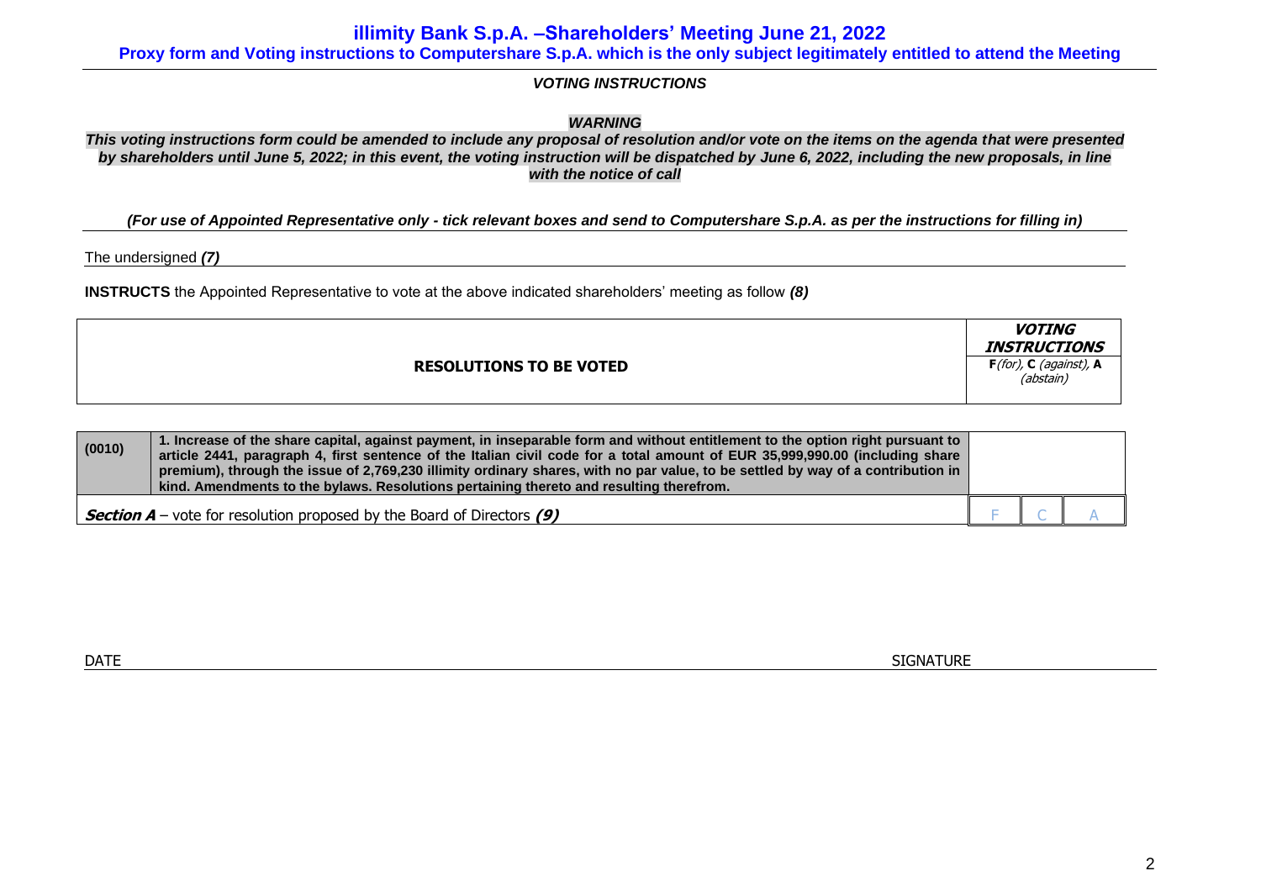**illimity Bank S.p.A. –Shareholders' Meeting June 21, 2022**

**Proxy form and Voting instructions to Computershare S.p.A. which is the only subject legitimately entitled to attend the Meeting**

*VOTING INSTRUCTIONS*

*WARNING*

*This voting instructions form could be amended to include any proposal of resolution and/or vote on the items on the agenda that were presented by shareholders until June 5, 2022; in this event, the voting instruction will be dispatched by June 6, 2022, including the new proposals, in line with the notice of call*

*(For use of Appointed Representative only - tick relevant boxes and send to Computershare S.p.A. as per the instructions for filling in)*

The undersigned *(7)*

**INSTRUCTS** the Appointed Representative to vote at the above indicated shareholders' meeting as follow *(8)*

|                                | <i><b>VOTING</b></i><br><b>INSTRUCTIONS</b> |
|--------------------------------|---------------------------------------------|
| <b>RESOLUTIONS TO BE VOTED</b> | $F($ for), C (against), A<br>(abstain)      |

| (0010)                                                                        | 1. Increase of the share capital, against payment, in inseparable form and without entitlement to the option right pursuant to<br>article 2441, paragraph 4, first sentence of the Italian civil code for a total amount of EUR 35,999,990.00 (including share<br>premium), through the issue of 2,769,230 illimity ordinary shares, with no par value, to be settled by way of a contribution in<br>kind. Amendments to the bylaws. Resolutions pertaining thereto and resulting therefrom. |  |  |
|-------------------------------------------------------------------------------|----------------------------------------------------------------------------------------------------------------------------------------------------------------------------------------------------------------------------------------------------------------------------------------------------------------------------------------------------------------------------------------------------------------------------------------------------------------------------------------------|--|--|
| <b>Section A</b> – vote for resolution proposed by the Board of Directors (9) |                                                                                                                                                                                                                                                                                                                                                                                                                                                                                              |  |  |

 $\blacksquare$  DATE  $\blacksquare$  SIGNATURE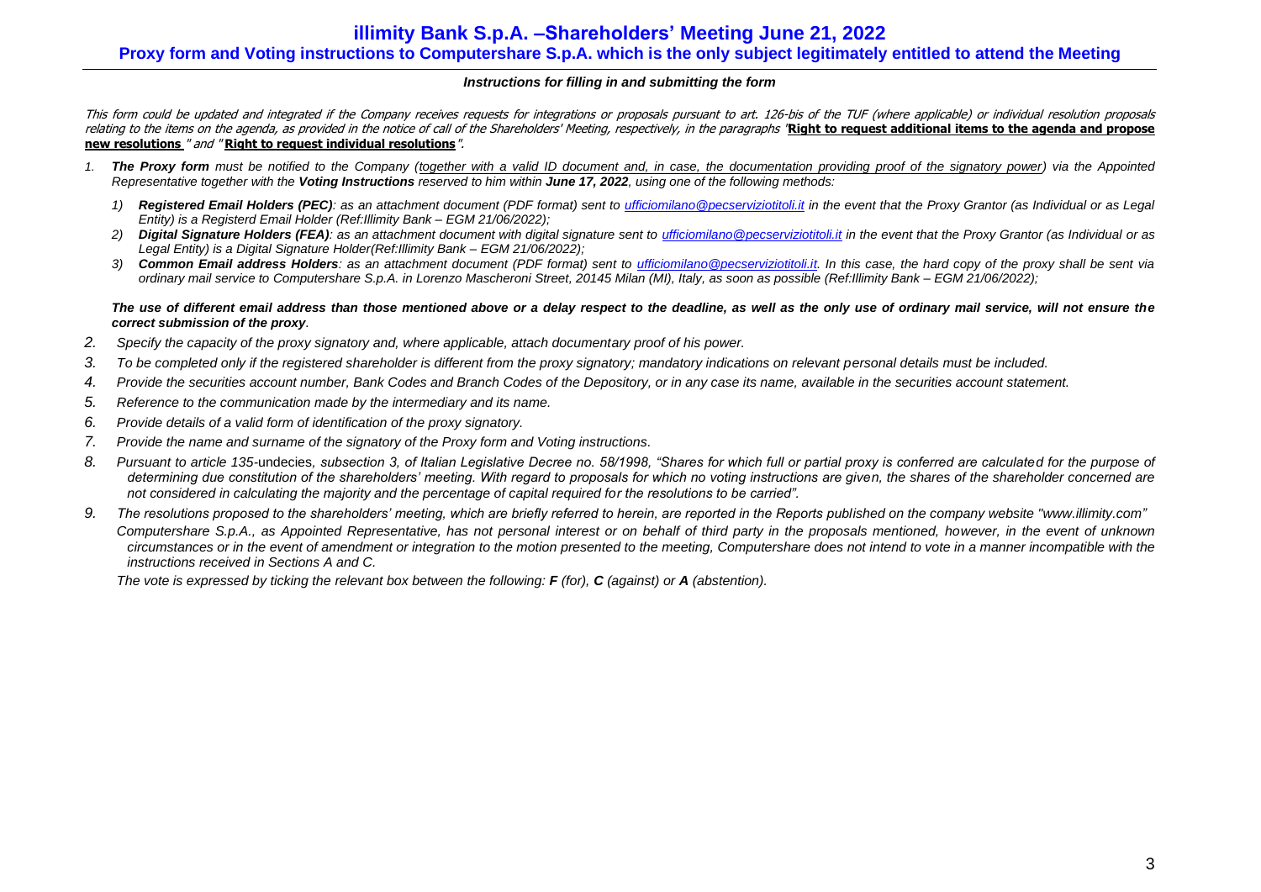## *Instructions for filling in and submitting the form*

This form could be updated and integrated if the Company receives requests for integrations or proposals pursuant to art. 126-bis of the TUF (where applicable) or individual resolution proposals relating to the items on the agenda, as provided in the notice of call of the Shareholders' Meeting, respectively, in the paragraphs "**Right to request additional items to the agenda and propose new resolutions** " and " **Right to request individual resolutions**".

- *1. The Proxy form must be notified to the Company (together with a valid ID document and, in case, the documentation providing proof of the signatory power) via the Appointed Representative together with the Voting Instructions reserved to him within June 17, 2022, using one of the following methods:*
	- *1) Registered Email Holders (PEC): as an attachment document (PDF format) sent to [ufficiomilano@pecserviziotitoli.it](mailto:ufficiomilano@pecserviziotitoli.it) in the event that the Proxy Grantor (as Individual or as Legal Entity) is a Registerd Email Holder (Ref:Illimity Bank – EGM 21/06/2022);*
	- 2) Digital Signature Holders (FEA): as an attachment document with digital signature sent to ufficiomilano @pecserviziotitoli.it in the event that the Proxy Grantor (as Individual or as *Legal Entity) is a Digital Signature Holder(Ref:Illimity Bank – EGM 21/06/2022);*
	- *3) Common Email address Holders: as an attachment document (PDF format) sent to [ufficiomilano@pecserviziotitoli.it.](mailto:ufficiomilano@pecserviziotitoli.it) In this case, the hard copy of the proxy shall be sent via ordinary mail service to Computershare S.p.A. in Lorenzo Mascheroni Street, 20145 Milan (MI), Italy, as soon as possible (Ref:Illimity Bank – EGM 21/06/2022);*

#### *The use of different email address than those mentioned above or a delay respect to the deadline, as well as the only use of ordinary mail service, will not ensure the correct submission of the proxy.*

- *2. Specify the capacity of the proxy signatory and, where applicable, attach documentary proof of his power.*
- *3. To be completed only if the registered shareholder is different from the proxy signatory; mandatory indications on relevant personal details must be included.*
- *4. Provide the securities account number, Bank Codes and Branch Codes of the Depository, or in any case its name, available in the securities account statement.*
- *5. Reference to the communication made by the intermediary and its name.*
- *6. Provide details of a valid form of identification of the proxy signatory.*
- *7. Provide the name and surname of the signatory of the Proxy form and Voting instructions.*
- *8. Pursuant to article 135-*undecies*, subsection 3, of Italian Legislative Decree no. 58/1998, "Shares for which full or partial proxy is conferred are calculated for the purpose of determining due constitution of the shareholders' meeting. With regard to proposals for which no voting instructions are given, the shares of the shareholder concerned are not considered in calculating the majority and the percentage of capital required for the resolutions to be carried".*
- *9. The resolutions proposed to the shareholders' meeting, which are briefly referred to herein, are reported in the Reports published on the company website ["www.illimity.com"](http://www.illimity.com/)*

*Computershare S.p.A., as Appointed Representative, has not personal interest or on behalf of third party in the proposals mentioned, however, in the event of unknown circumstances or in the event of amendment or integration to the motion presented to the meeting, Computershare does not intend to vote in a manner incompatible with the instructions received in Sections A and C.*

*The vote is expressed by ticking the relevant box between the following: F (for), C (against) or A (abstention).*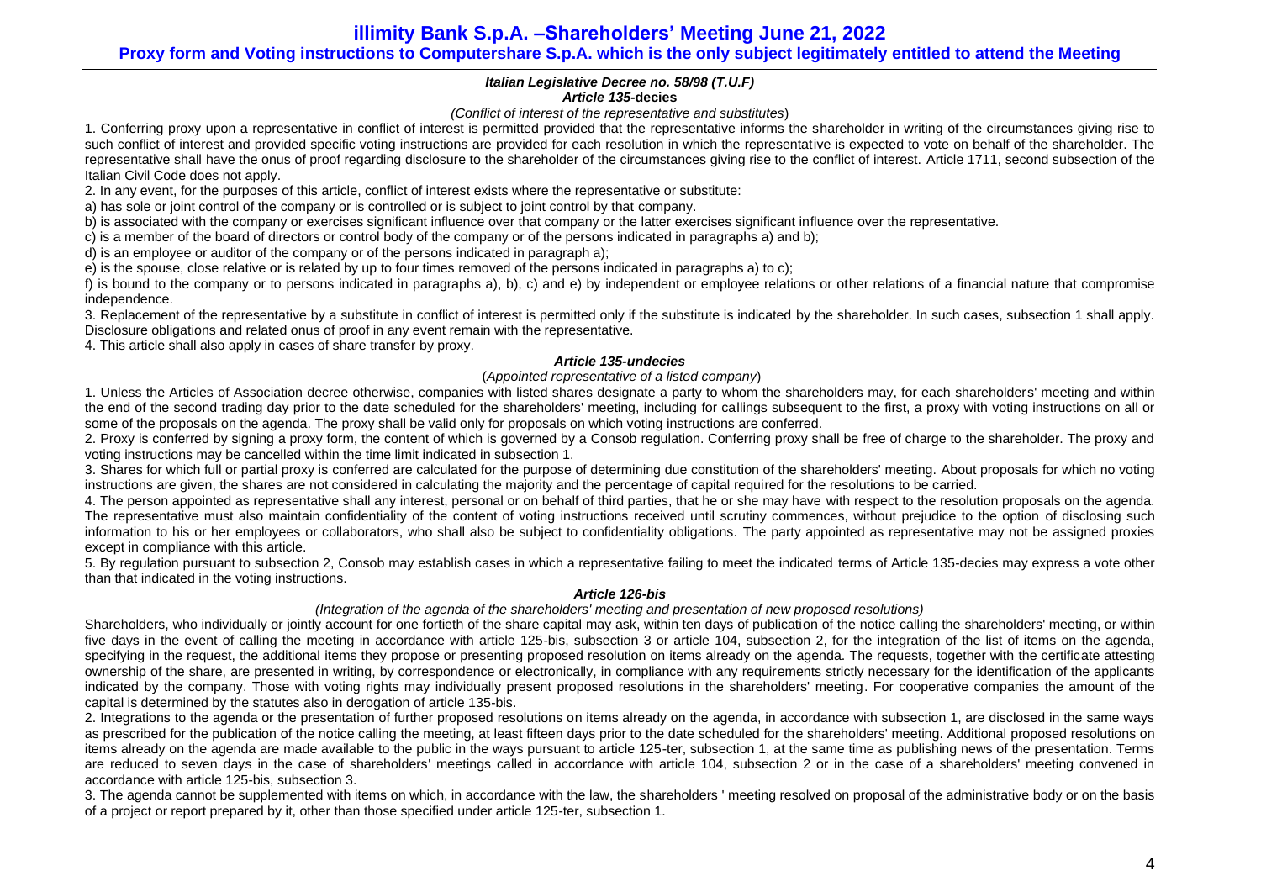## *Italian Legislative Decree no. 58/98 (T.U.F) Article 135-***decies**

### *(Conflict of interest of the representative and substitutes*)

1. Conferring proxy upon a representative in conflict of interest is permitted provided that the representative informs the shareholder in writing of the circumstances giving rise to such conflict of interest and provided specific voting instructions are provided for each resolution in which the representative is expected to vote on behalf of the shareholder. The representative shall have the onus of proof regarding disclosure to the shareholder of the circumstances giving rise to the conflict of interest. Article 1711, second subsection of the Italian Civil Code does not apply.

2. In any event, for the purposes of this article, conflict of interest exists where the representative or substitute:

a) has sole or joint control of the company or is controlled or is subject to joint control by that company.

b) is associated with the company or exercises significant influence over that company or the latter exercises significant influence over the representative.

c) is a member of the board of directors or control body of the company or of the persons indicated in paragraphs a) and b);

d) is an employee or auditor of the company or of the persons indicated in paragraph a);

e) is the spouse, close relative or is related by up to four times removed of the persons indicated in paragraphs a) to c);

f) is bound to the company or to persons indicated in paragraphs a), b), c) and e) by independent or employee relations or other relations of a financial nature that compromise independence.

3. Replacement of the representative by a substitute in conflict of interest is permitted only if the substitute is indicated by the shareholder. In such cases, subsection 1 shall apply. Disclosure obligations and related onus of proof in any event remain with the representative.

4. This article shall also apply in cases of share transfer by proxy.

## *Article 135-undecies*

## (*Appointed representative of a listed company*)

1. Unless the Articles of Association decree otherwise, companies with listed shares designate a party to whom the shareholders may, for each shareholders' meeting and within the end of the second trading day prior to the date scheduled for the shareholders' meeting, including for callings subsequent to the first, a proxy with voting instructions on all or some of the proposals on the agenda. The proxy shall be valid only for proposals on which voting instructions are conferred.

2. Proxy is conferred by signing a proxy form, the content of which is governed by a Consob regulation. Conferring proxy shall be free of charge to the shareholder. The proxy and voting instructions may be cancelled within the time limit indicated in subsection 1.

3. Shares for which full or partial proxy is conferred are calculated for the purpose of determining due constitution of the shareholders' meeting. About proposals for which no voting instructions are given, the shares are not considered in calculating the majority and the percentage of capital required for the resolutions to be carried.

4. The person appointed as representative shall any interest, personal or on behalf of third parties, that he or she may have with respect to the resolution proposals on the agenda. The representative must also maintain confidentiality of the content of voting instructions received until scrutiny commences, without prejudice to the option of disclosing such information to his or her employees or collaborators, who shall also be subject to confidentiality obligations. The party appointed as representative may not be assigned proxies except in compliance with this article.

5. By regulation pursuant to subsection 2, Consob may establish cases in which a representative failing to meet the indicated terms of Article 135-decies may express a vote other than that indicated in the voting instructions.

### *Article 126-bis*

### *(Integration of the agenda of the shareholders' meeting and presentation of new proposed resolutions)*

Shareholders, who individually or jointly account for one fortieth of the share capital may ask, within ten days of publication of the notice calling the shareholders' meeting, or within five days in the event of calling the meeting in accordance with article 125-bis, subsection 3 or article 104, subsection 2, for the integration of the list of items on the agenda, specifying in the request, the additional items they propose or presenting proposed resolution on items already on the agenda. The requests, together with the certificate attesting ownership of the share, are presented in writing, by correspondence or electronically, in compliance with any requirements strictly necessary for the identification of the applicants indicated by the company. Those with voting rights may individually present proposed resolutions in the shareholders' meeting. For cooperative companies the amount of the capital is determined by the statutes also in derogation of article 13[5-bis.](http://www.consob.it/mainen/documenti/english/laws/fr_decree58_1998.htm#sdfootnote595bissym) 

2. Integrations to the agenda or the presentation of further proposed resolutions on items already on the agenda, in accordance with subsection 1, are disclosed in the same ways as prescribed for the publication of the notice calling the meeting, at least fifteen days prior to the date scheduled for the shareholders' meeting. Additional proposed resolutions on items already on the agenda are made available to the public in the ways pursuant to article 125-ter, subsection 1, at the same time as publishing news of the presentation. Terms are reduced to seven days in the case of shareholders' meetings called in accordance with article 104, subsection 2 or in the case of a shareholders' meeting convened in accordance with article 125-bis, subsection 3.

3. The agenda cannot be supplemented with items on which, in accordance with the law, the shareholders ' meeting resolved on proposal of the administrative body or on the basis of a project or report prepared by it, other than those specified under article 125-ter, subsection 1.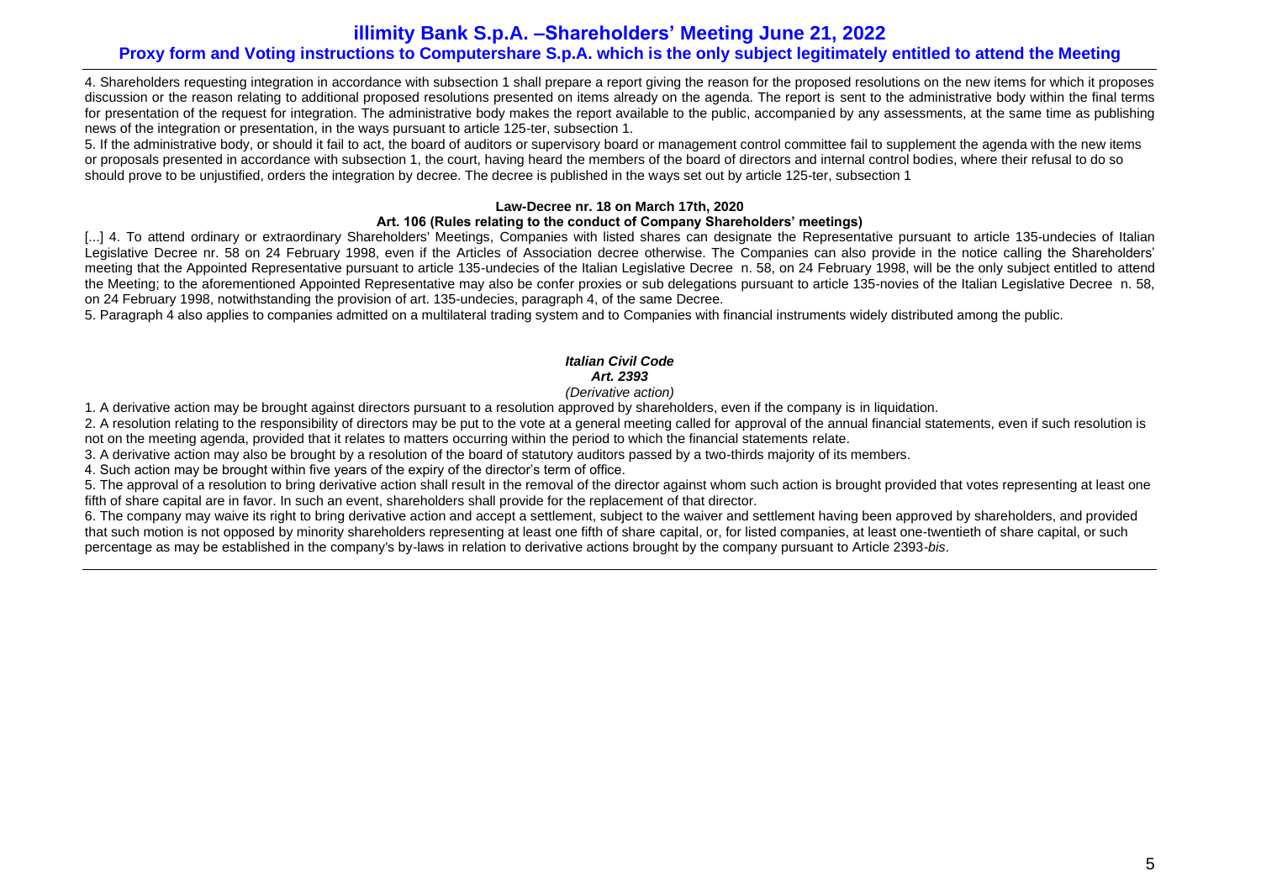4. Shareholders requesting integration in accordance with subsection 1 shall prepare a report giving the reason for the proposed resolutions on the new items for which it proposes discussion or the reason relating to additional proposed resolutions presented on items already on the agenda. The report is sent to the administrative body within the final terms for presentation of the request for integration. The administrative body makes the report available to the public, accompanied by any assessments, at the same time as publishing news of the integration or presentation, in the ways pursuant to article 125-ter, subsection 1.

5. If the administrative body, or should it fail to act, the board of auditors or supervisory board or management control committee fail to supplement the agenda with the new items or proposals presented in accordance with subsection 1, the court, having heard the members of the board of directors and internal control bodies, where their refusal to do so should prove to be unjustified, orders the integration by decree. The decree is published in the ways set out by article 125-ter, subsection 1

## **Law-Decree nr. 18 on March 17th, 2020**

## **Art. 106 (Rules relating to the conduct of Company Shareholders' meetings)**

[...] 4. To attend ordinary or extraordinary Shareholders' Meetings, Companies with listed shares can designate the Representative pursuant to article 135-undecies of Italian Legislative Decree nr. 58 on 24 February 1998, even if the Articles of Association decree otherwise. The Companies can also provide in the notice calling the Shareholders' meeting that the Appointed Representative pursuant to article 135-undecies of the Italian Legislative Decree n. 58, on 24 February 1998, will be the only subject entitled to attend the Meeting; to the aforementioned Appointed Representative may also be confer proxies or sub delegations pursuant to article 135-novies of the Italian Legislative Decree n. 58, on 24 February 1998, notwithstanding the provision of art. 135-undecies, paragraph 4, of the same Decree.

5. Paragraph 4 also applies to companies admitted on a multilateral trading system and to Companies with financial instruments widely distributed among the public.

## *Italian Civil Code Art. 2393*

## *(Derivative action)*

1. A derivative action may be brought against directors pursuant to a resolution approved by shareholders, even if the company is in liquidation.

2. A resolution relating to the responsibility of directors may be put to the vote at a general meeting called for approval of the annual financial statements, even if such resolution is not on the meeting agenda, provided that it relates to matters occurring within the period to which the financial statements relate.

3. A derivative action may also be brought by a resolution of the board of statutory auditors passed by a two-thirds majority of its members.

4. Such action may be brought within five years of the expiry of the director's term of office.

5. The approval of a resolution to bring derivative action shall result in the removal of the director against whom such action is brought provided that votes representing at least one fifth of share capital are in favor. In such an event, shareholders shall provide for the replacement of that director.

6. The company may waive its right to bring derivative action and accept a settlement, subject to the waiver and settlement having been approved by shareholders, and provided that such motion is not opposed by minority shareholders representing at least one fifth of share capital, or, for listed companies, at least one-twentieth of share capital, or such percentage as may be established in the company's by-laws in relation to derivative actions brought by the company pursuant to Article 2393-*bis*.